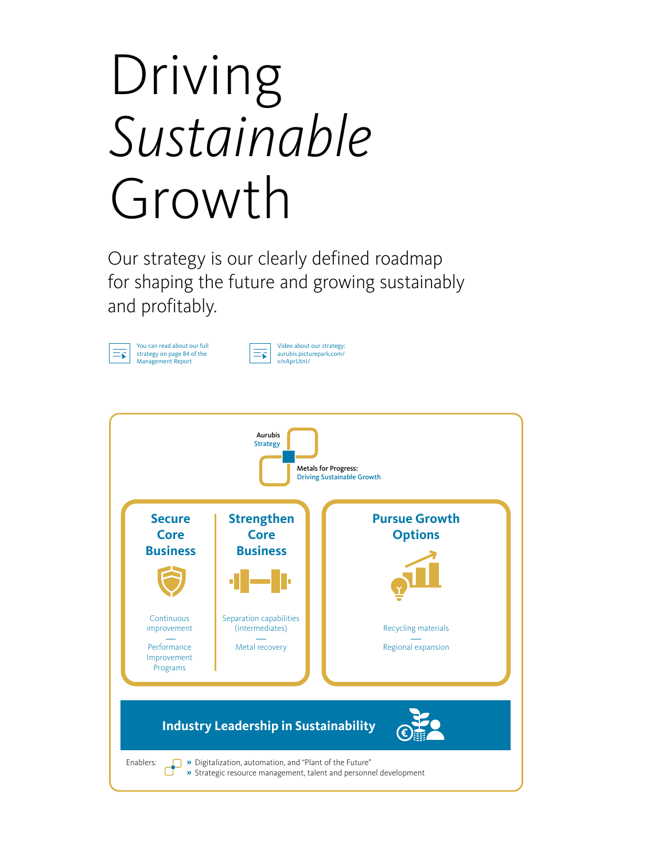# Driving *Sustainable* Growth

Our strategy is our clearly defined roadmap for shaping the future and growing sustainably and profitably.





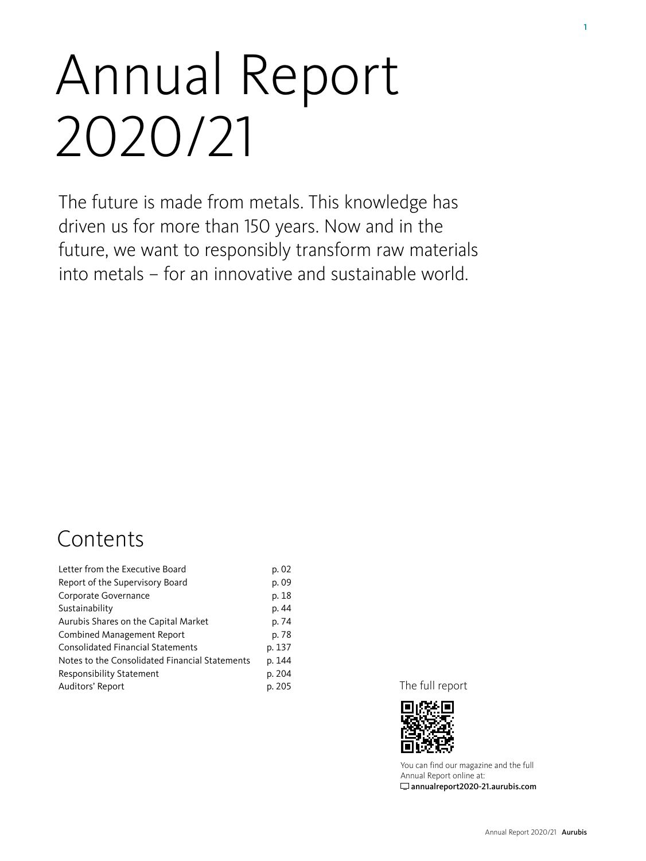# Annual Report 2020/21

The future is made from metals. This knowledge has driven us for more than 150 years. Now and in the future, we want to responsibly transform raw materials into metals – for an innovative and sustainable world.

### **Contents**

| Letter from the Executive Board                | p. 02  |
|------------------------------------------------|--------|
| Report of the Supervisory Board                | p. 09  |
| Corporate Governance                           | p. 18  |
| Sustainability                                 | p. 44  |
| Aurubis Shares on the Capital Market           | p. 74  |
| <b>Combined Management Report</b>              | p. 78  |
| <b>Consolidated Financial Statements</b>       | p. 137 |
| Notes to the Consolidated Financial Statements | p. 144 |
| <b>Responsibility Statement</b>                | p. 204 |
| Auditors' Report                               | p. 205 |

The full report



[You can find our magazine and the full](http://annualreport2020-21.aurubis.com)  [Annual Report online at:](http://annualreport2020-21.aurubis.com)  [annualreport2020-21.aurubis.com](http://annualreport2020-21.aurubis.com)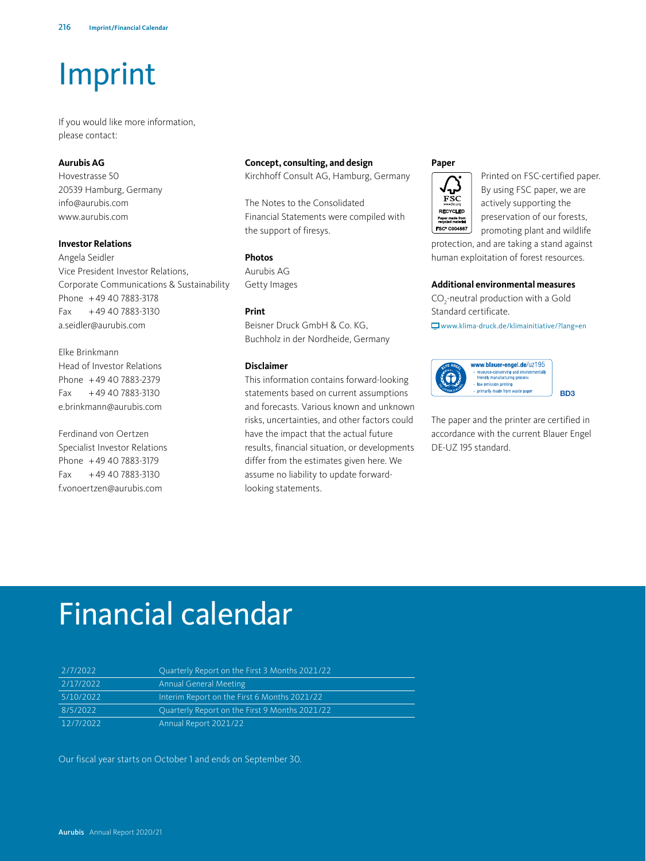## Imprint

If you would like more information, please contact:

#### **Aurubis AG**

Hovestrasse 50 20539 Hamburg, Germany info@aurubis.com www.aurubis.com

#### **Investor Relations**

Angela Seidler Vice President Investor Relations, Corporate Communications & Sustainability Phone +49 40 7883-3178 Fax +49 40 7883-3130 a.seidler@aurubis.com

#### Elke Brinkmann

Head of Investor Relations Phone +49 40 7883-2379 Fax +49 40 7883-3130 e.brinkmann@aurubis.com

Ferdinand von Oertzen Specialist Investor Relations Phone +49 40 7883-3179 Fax +49 40 7883-3130 f.vonoertzen@aurubis.com

#### **Concept, consulting, and design**

[Kirchhoff Consult AG, Hamburg, Germany](www.kirchhoff.de)

The Notes to the Consolidated Financial Statements were compiled with the support of firesys.

#### **Photos**

Aurubis AG Getty Images

#### **Print**

Beisner Druck GmbH & Co. KG, Buchholz in der Nordheide, Germany

#### **Disclaimer**

This information contains forward-looking statements based on current assumptions and forecasts. Various known and unknown risks, uncertainties, and other factors could have the impact that the actual future results, financial situation, or developments differ from the estimates given here. We assume no liability to update forwardlooking statements.

#### **Paper**



Printed on FSC-certified paper. By using FSC paper, we are actively supporting the preservation of our forests, promoting plant and wildlife

protection, and are taking a stand against human exploitation of forest resources.

#### **Additional environmental measures**

 $CO_2$ -neutral production with a Gold Standard certificate.

www.klima-druck.de/klimainitiative/?lang=en



The paper and the printer are certified in accordance with the current Blauer Engel DE-UZ 195 standard.

### Financial calendar

| 2/7/2022  | Quarterly Report on the First 3 Months 2021/22 |
|-----------|------------------------------------------------|
| 2/17/2022 | <b>Annual General Meeting</b>                  |
| 5/10/2022 | Interim Report on the First 6 Months 2021/22   |
| 8/5/2022  | Ouarterly Report on the First 9 Months 2021/22 |
| 12/7/2022 | Annual Report 2021/22                          |

Our fiscal year starts on October 1 and ends on September 30.